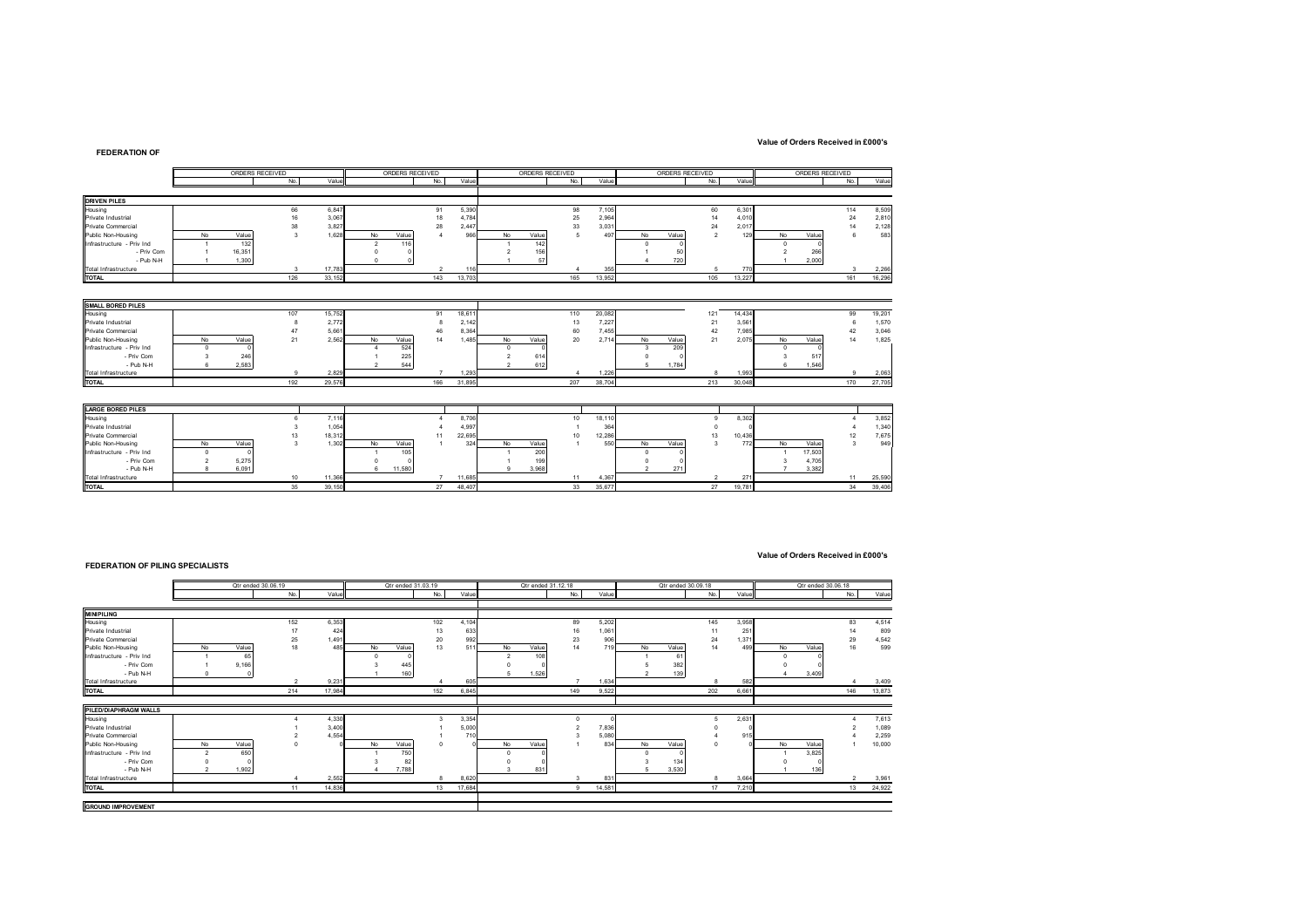### **Value of Orders Received in £000's**

|                             |              | ORDERS RECEIVED |              |        |               | ORDERS RECEIVED |        |                    | ORDERS RECEIVED |                        |        |                | ORDERS RECEIVED |                |        | ORDERS RECEIVED |        |                         |        |
|-----------------------------|--------------|-----------------|--------------|--------|---------------|-----------------|--------|--------------------|-----------------|------------------------|--------|----------------|-----------------|----------------|--------|-----------------|--------|-------------------------|--------|
|                             |              |                 | No.          | Value  |               | No.             | Value  |                    |                 | No.                    | Value  |                |                 | No.            | Value  |                 |        | No.                     | Value  |
| <b>DRIVEN PILES</b>         |              |                 |              |        |               |                 |        |                    |                 |                        |        |                |                 |                |        |                 |        |                         |        |
| Housing                     |              |                 | 66           | 6,847  |               | 91              | 5,390  |                    |                 | 98                     | 7,105  |                |                 | 60             | 6,301  |                 |        | 114                     | 8,509  |
| Private Industrial          |              |                 | 16           | 3,067  |               | 18              | 4,784  |                    |                 | 25                     | 2,964  |                |                 | 14             | 4,010  |                 |        | 24                      | 2,810  |
| Private Commercial          |              |                 | 38           | 3,827  |               | 28              | 2,447  |                    |                 | 33                     | 3,031  |                |                 | 24             | 2,017  |                 |        | 14                      | 2,128  |
| Public Non-Housing          | No           | Value           | 3            | 1.628  | No            | Value           | 966    | <b>No</b>          | Value           | 5                      | 497    | No             | Value           | $\overline{2}$ | 129    | No              | Value  |                         | 583    |
| Infrastructure - Priv Ind   |              | 132             |              |        | $\mathcal{D}$ | 116             |        |                    | 142             |                        |        | n              |                 |                |        | $\Omega$        |        |                         |        |
| - Priv Com                  |              | 16,351          |              |        |               |                 |        |                    | 156             |                        |        |                | 50              |                |        |                 | 266    |                         |        |
| - Pub N-H                   |              | 1,300           |              |        |               |                 |        |                    | 57              |                        |        |                | 720             |                |        |                 | 2,000  |                         |        |
| <b>Total Infrastructure</b> |              |                 | $\mathbf{3}$ | 17,783 |               | $\overline{2}$  | 116    |                    |                 | $\boldsymbol{\Lambda}$ | 355    |                |                 | 5              | 770    |                 |        | $\overline{\mathbf{3}}$ | 2,266  |
| <b>TOTAL</b>                |              |                 | 126          | 33.152 |               | 143             | 13,703 |                    |                 | 165                    | 13,952 |                |                 | 105            | 13.227 |                 |        | 161                     | 16,296 |
|                             |              |                 |              |        |               |                 |        |                    |                 |                        |        |                |                 |                |        |                 |        |                         |        |
| SMALL BORED PILES           |              |                 |              |        |               |                 |        |                    |                 |                        |        |                |                 |                |        |                 |        |                         |        |
| Housing                     |              |                 | 107          | 15,752 |               | 91              | 18,61  |                    |                 | 110                    | 20,082 |                |                 | 121            | 14,434 |                 |        | 99                      | 19,201 |
| Private Industrial          |              |                 |              | 2,772  |               | 8               | 2,142  |                    |                 | 13                     | 7,227  |                |                 | 21             | 3,561  |                 |        |                         | 1,570  |
| Private Commercial          |              |                 | 47           | 5,661  |               | 46              | 8,364  |                    |                 | 60                     | 7,455  |                |                 | 42             | 7,985  |                 |        | 42                      | 3,046  |
| Public Non-Housing          | No           | Value           | 21           | 2,562  | No            | Value<br>14     | 1,485  | <b>No</b>          | Value           | 20                     | 2,714  | No             | Value           | 21             | 2,075  | No              | Value  | 14                      | 1,825  |
| Infrastructure - Priv Ind   | $\Omega$     |                 |              |        |               | 524             |        | $\Omega$           |                 |                        |        | 3              | 209             |                |        | $\Omega$        |        |                         |        |
| - Priv Com                  | 3            | 246             |              |        |               | 225             |        |                    | 614             |                        |        |                |                 |                |        |                 | 517    |                         |        |
| - Pub N-H                   | $\mathbf{g}$ | 2.583           |              |        |               | 544             |        | $\mathbf{\hat{z}}$ | 612             |                        |        | 5              | 1.784           |                |        | R.              | 1.546  |                         |        |
| Total Infrastructure        |              |                 | 9            | 2,829  |               | $\overline{7}$  | 1,293  |                    |                 |                        | 1,226  |                |                 | $\mathbf{a}$   | 1.993  |                 |        | $\mathbf{Q}$            | 2,063  |
| <b>TOTAL</b>                |              |                 | 192          | 29.576 |               | 166             | 31,895 |                    |                 | 207                    | 38,704 |                |                 | 213            | 30.048 |                 |        | 170                     | 27,705 |
|                             |              |                 |              |        |               |                 |        |                    |                 |                        |        |                |                 |                |        |                 |        |                         |        |
| <b>LARGE BORED PILES</b>    |              |                 |              |        |               |                 |        |                    |                 |                        |        |                |                 |                |        |                 |        |                         |        |
| Housing                     |              |                 | 6            | 7,116  |               |                 | 8,706  |                    |                 | 10                     | 18,110 |                |                 | $\mathbf{a}$   | 8,302  |                 |        |                         | 3,852  |
| Private Industrial          |              |                 |              | 1,054  |               |                 | 4,997  |                    |                 |                        | 364    |                |                 |                |        |                 |        |                         | 1,340  |
| Private Commercial          |              |                 | 13           | 18,312 |               | 11              | 22,695 |                    |                 | 10                     | 12,286 |                |                 | 13             | 10,436 |                 |        | 12                      | 7,675  |
| Public Non-Housing          | No           | Value           | 3            | 1.302  | No            | Value           | 324    | No                 | Value           |                        | 550    | No             | Value           | 3              | 772    | No              | Value  | $\mathbf{a}$            | 949    |
| Infrastructure - Priv Ind   | $\Omega$     |                 |              |        |               | 105             |        |                    | 200             |                        |        | $\Omega$       |                 |                |        |                 | 17,503 |                         |        |
| - Priv Com                  |              | 5,275           |              |        |               |                 |        |                    | 199             |                        |        |                |                 |                |        |                 | 4,705  |                         |        |
| - Pub N-H                   |              | 6,091           |              |        | 11,580<br>6   |                 |        | 9                  | 3.968           |                        |        | $\overline{2}$ | 271             |                |        |                 | 3,382  |                         |        |
| Total Infrastructure        |              |                 | 10           | 11,366 |               |                 | 11,685 |                    |                 | 11                     | 4,367  |                |                 |                | 271    |                 |        | 11                      | 25,590 |
| <b>TOTAL</b>                |              |                 | 35           | 39.150 |               | 27              | 48,407 |                    |                 | 33                     | 35,677 |                |                 | 27             | 19,781 |                 |        | 34                      | 39,406 |

#### **FEDERATION OF PILING SPECIALISTS**

#### **Value of Orders Received in £000's**

|                           |           | Qtr ended 30.06.19 |     |        |    | Qtr ended 31.03.19 |     |        |    | Qtr ended 31.12.18 |     |        | Qtr ended 30.09.18 |       |     | Qtr ended 30.06.18 |    |       |                |        |
|---------------------------|-----------|--------------------|-----|--------|----|--------------------|-----|--------|----|--------------------|-----|--------|--------------------|-------|-----|--------------------|----|-------|----------------|--------|
|                           |           |                    | No. | Value  |    |                    | No. | Value  |    |                    | No. | Value  |                    |       | No. | Value              |    |       | No.            | Value  |
|                           |           |                    |     |        |    |                    |     |        |    |                    |     |        |                    |       |     |                    |    |       |                |        |
| <b>MINIPILING</b>         |           |                    |     |        |    |                    |     |        |    |                    |     |        |                    |       |     |                    |    |       |                |        |
| Housing                   |           |                    | 152 | 6,353  |    |                    | 102 | 4,104  |    |                    | 89  | 5,202  |                    |       | 145 | 3,958              |    |       | 83             | 4,514  |
| Private Industrial        |           |                    |     | 424    |    |                    | 13  | 633    |    |                    | 16  | 1,061  |                    |       |     | 251                |    |       | 14             | 809    |
| Private Commercial        |           |                    | 25  | 1,491  |    |                    | 20  | 992    |    |                    | 23  | 906    |                    |       | 24  | 1,371              |    |       | 29             | 4,542  |
| Public Non-Housing        | <b>No</b> | Value              | 18  | 485    | No | Value              | 13  | 511    | No | Value              | 14  | 719    | No                 | Value | 14  | 499                | No | Value | 16             | 599    |
| Infrastructure - Priv Ind |           | 65                 |     |        |    |                    |     |        | o  | 108                |     |        |                    | 61    |     |                    |    |       |                |        |
| - Priv Com                |           | 9,166              |     |        |    | 445                |     |        |    |                    |     |        |                    | 382   |     |                    |    |       |                |        |
| - Pub N-H                 |           |                    |     |        |    | 160                |     |        |    | 1,526              |     |        |                    | 139   |     |                    |    | 3.409 |                |        |
| Total Infrastructure      |           |                    |     | 9.231  |    |                    |     | 605    |    |                    |     | 1.634  |                    |       |     | 582                |    |       |                | 3,409  |
| <b>TOTAL</b>              |           |                    | 214 | 17,984 |    |                    | 152 | 6,845  |    |                    | 149 | 9.522  |                    |       | 202 | 6.661              |    |       | 146            | 13,873 |
|                           |           |                    |     |        |    |                    |     |        |    |                    |     |        |                    |       |     |                    |    |       |                |        |
| PILED/DIAPHRAGM WALLS     |           |                    |     |        |    |                    |     |        |    |                    |     |        |                    |       |     |                    |    |       |                |        |
| Housing                   |           |                    |     | 4,330  |    |                    |     | 3,354  |    |                    |     |        |                    |       |     | 2,631              |    |       |                | 7,613  |
| Private Industrial        |           |                    |     | 3,400  |    |                    |     | 5,000  |    |                    |     | 7,836  |                    |       |     |                    |    |       |                | 1,089  |
| Private Commercial        |           |                    |     | 4.554  |    |                    |     | 710    |    |                    |     | 5.080  |                    |       |     | 915                |    |       |                | 2,259  |
| Public Non-Housing        | No        | Value              |     |        | No | Value              |     |        | No | Value              |     | 834    | No                 | Value |     |                    | No | Value |                | 10,000 |
| Infrastructure - Priv Ind |           | 650                |     |        |    | 750                |     |        |    |                    |     |        |                    |       |     |                    |    | 3.825 |                |        |
| - Priv Com                |           |                    |     |        |    | 82                 |     |        |    |                    |     |        |                    | 134   |     |                    |    |       |                |        |
| - Pub N-H                 |           | 1,902              |     |        |    | 7,788              |     |        |    | 831                |     |        |                    | 3,530 |     |                    |    | 136   |                |        |
| Total Infrastructure      |           |                    |     | 2,552  |    |                    | 8   | 8,620  |    |                    | 3   | 831    |                    |       | 8   | 3.664              |    |       | $\overline{2}$ | 3,961  |
| <b>TOTAL</b>              |           |                    |     | 14,836 |    |                    | 13  | 17.684 |    |                    |     | 14.581 |                    |       |     | 7.210              |    |       | 13             | 24,922 |
|                           |           |                    |     |        |    |                    |     |        |    |                    |     |        |                    |       |     |                    |    |       |                |        |
| <b>GROUND IMPROVEMENT</b> |           |                    |     |        |    |                    |     |        |    |                    |     |        |                    |       |     |                    |    |       |                |        |

## **FEDERATION OF**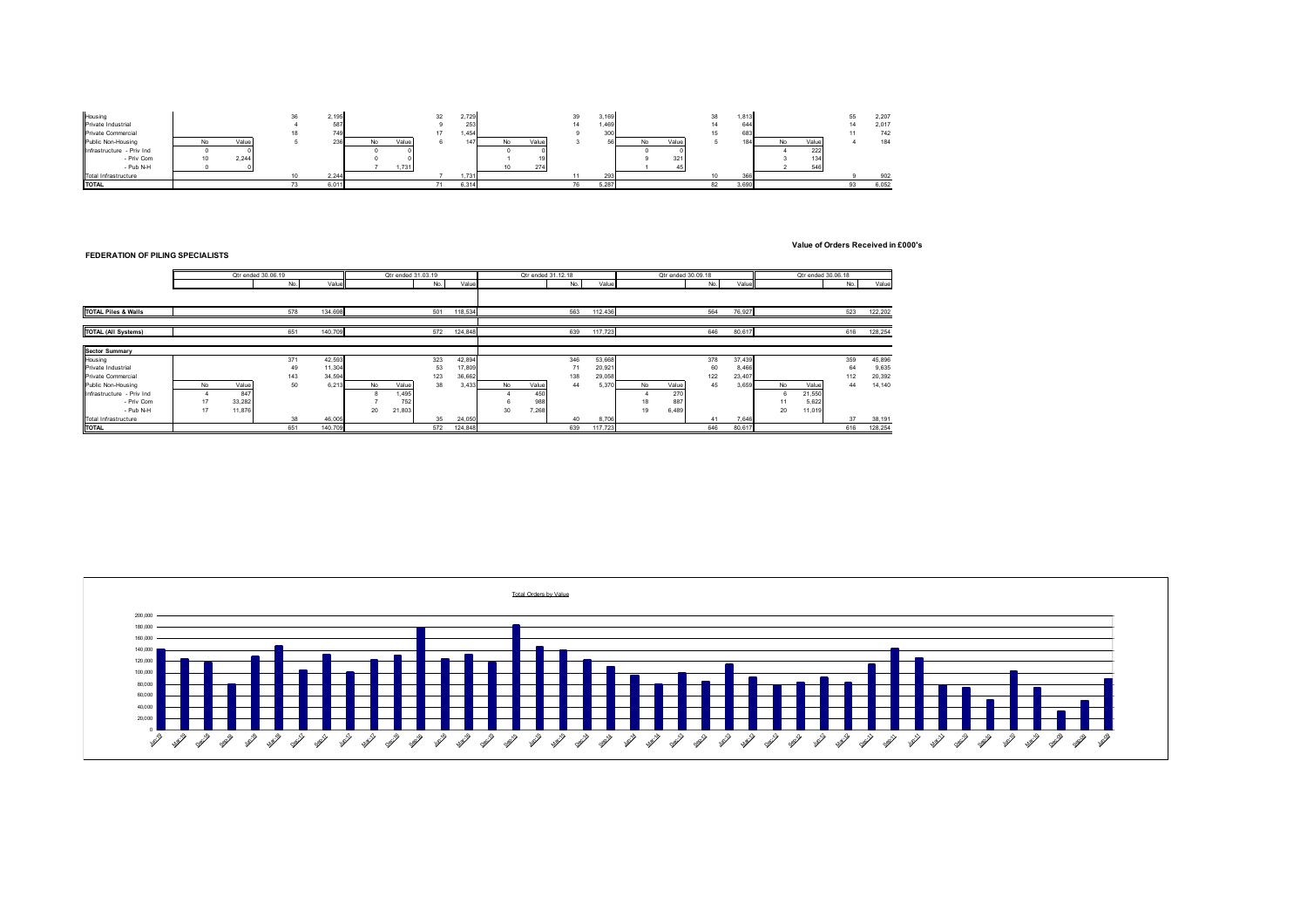

**Value of Orders Received in £000's**

# **FEDERATION OF PILING SPECIALISTS**

|                                | Qtr ended 30,06,19 |  |        |              |         | Otr ended 31.03.19 |        |     |         |       | Otr ended 31.12.18 |     |         |     | Qtr ended 30.09.18 |     | Otr ended 30.06.18 |           |        |     |         |
|--------------------------------|--------------------|--|--------|--------------|---------|--------------------|--------|-----|---------|-------|--------------------|-----|---------|-----|--------------------|-----|--------------------|-----------|--------|-----|---------|
|                                | Value<br>No.       |  |        | Value<br>No. |         |                    | No.    |     |         | Value | Value<br>No.       |     |         | No. |                    |     | Value              |           |        |     |         |
|                                |                    |  |        |              |         |                    |        |     |         |       |                    |     |         |     |                    |     |                    |           |        |     |         |
| <b>TOTAL Piles &amp; Walls</b> |                    |  |        | 578          | 134.698 |                    |        | 501 | 118,534 |       |                    | 563 | 112,436 |     |                    | 564 | 76,927             |           |        | 523 | 122,202 |
| <b>TOTAL (All Systems)</b>     |                    |  |        | 651          | 140,709 |                    |        | 572 | 124,848 |       |                    | 639 | 117,723 |     |                    | 646 | 80,617             |           |        | 616 | 128,254 |
|                                |                    |  |        |              |         |                    |        |     |         |       |                    |     |         |     |                    |     |                    |           |        |     |         |
| <b>Sector Summary</b>          |                    |  |        |              |         |                    |        |     |         |       |                    |     |         |     |                    |     |                    |           |        |     |         |
| Housing                        |                    |  |        | 371          | 42,593  |                    |        | 323 | 42,894  |       |                    | 346 | 53,668  |     |                    | 378 | 37,439             |           |        | 359 | 45,896  |
| Private Industrial             |                    |  |        | 49           | 11,304  |                    |        | 53  | 17,809  |       |                    | 71  | 20,921  |     |                    | 60  | 8,466              |           |        | 64  | 9,635   |
| Private Commercial             |                    |  |        | 143          | 34.594  |                    |        | 123 | 36,662  |       |                    | 138 | 29,058  |     |                    | 122 | 23,407             |           |        | 112 | 20,392  |
| Public Non-Housing             | No                 |  | Value  | 50           | 6.213   | No                 | Value  | 38  | 3,433   | No    | Value              | 44  | 5.370   | No  | Value              | 45  | 3,659              | <b>No</b> | Value  | 44  | 14,140  |
| Infrastructure - Priv Ind      |                    |  | 847    |              |         |                    | 1.495  |     |         |       | 450                |     |         |     | 270                |     |                    | 6         | 21,550 |     |         |
| - Priv Com                     | 17                 |  | 33,282 |              |         |                    | 752    |     |         |       | 988                |     |         | 18  | 88                 |     |                    | 11        | 5,622  |     |         |
| - Pub N-H                      | 17                 |  | 11.876 |              |         | 20                 | 21,803 |     |         | 30    | 7.268              |     |         | 19  | 6,489              |     |                    | 20        | 11,019 |     |         |
| Total Infrastructure           |                    |  |        | 38           | 46,005  |                    |        | 35  | 24,050  |       |                    | 40  | 8.706   |     |                    | 41  | 7.646              |           |        | 37  | 38,191  |
| <b>TOTAL</b>                   |                    |  |        | 651          | 140.709 |                    |        | 572 | 124.848 |       |                    | 639 | 117.723 |     |                    | 646 | 80.617             |           |        | 616 | 128.254 |